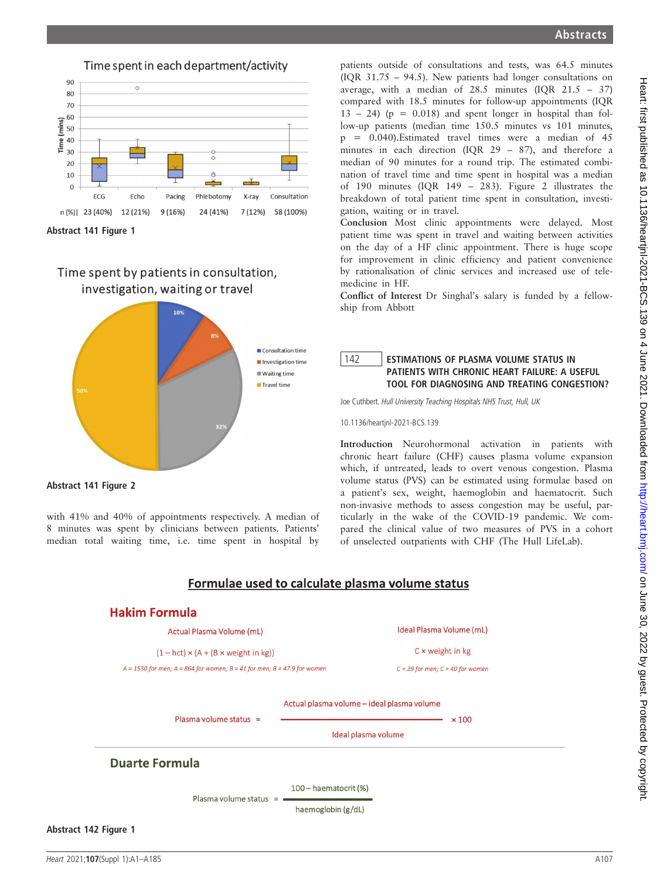### Time spent in each department/activity



Abstract 141 Figure 1

# Time spent by patients in consultation, investigation, waiting or travel



Abstract 141 Figure 2

with 41% and 40% of appointments respectively. A median of 8 minutes was spent by clinicians between patients. Patients' median total waiting time, i.e. time spent in hospital by

patients outside of consultations and tests, was 64.5 minutes (IQR 31.75 – 94.5). New patients had longer consultations on average, with a median of 28.5 minutes (IQR 21.5 – 37) compared with 18.5 minutes for follow-up appointments (IQR  $13 - 24$ ) (p = 0.018) and spent longer in hospital than follow-up patients (median time 150.5 minutes vs 101 minutes, p = 0.040).Estimated travel times were a median of 45 minutes in each direction (IQR 29 – 87), and therefore a median of 90 minutes for a round trip. The estimated combination of travel time and time spent in hospital was a median of 190 minutes (IQR 149 – 283). Figure 2 illustrates the breakdown of total patient time spent in consultation, investigation, waiting or in travel.

Conclusion Most clinic appointments were delayed. Most patient time was spent in travel and waiting between activities on the day of a HF clinic appointment. There is huge scope for improvement in clinic efficiency and patient convenience by rationalisation of clinic services and increased use of telemedicine in HF.

Conflict of Interest Dr Singhal's salary is funded by a fellowship from Abbott

### 142 **ESTIMATIONS OF PLASMA VOLUME STATUS IN** PATIENTS WITH CHRONIC HEART FAILURE: A USEFUL TOOL FOR DIAGNOSING AND TREATING CONGESTION?

Joe Cuthbert. Hull University Teaching Hospitals NHS Trust, Hull, UK

10.1136/heartjnl-2021-BCS.139

Introduction Neurohormonal activation in patients with chronic heart failure (CHF) causes plasma volume expansion which, if untreated, leads to overt venous congestion. Plasma volume status (PVS) can be estimated using formulae based on a patient's sex, weight, haemoglobin and haematocrit. Such non-invasive methods to assess congestion may be useful, particularly in the wake of the COVID-19 pandemic. We compared the clinical value of two measures of PVS in a cohort of unselected outpatients with CHF (The Hull LifeLab).

## Formulae used to calculate plasma volume status

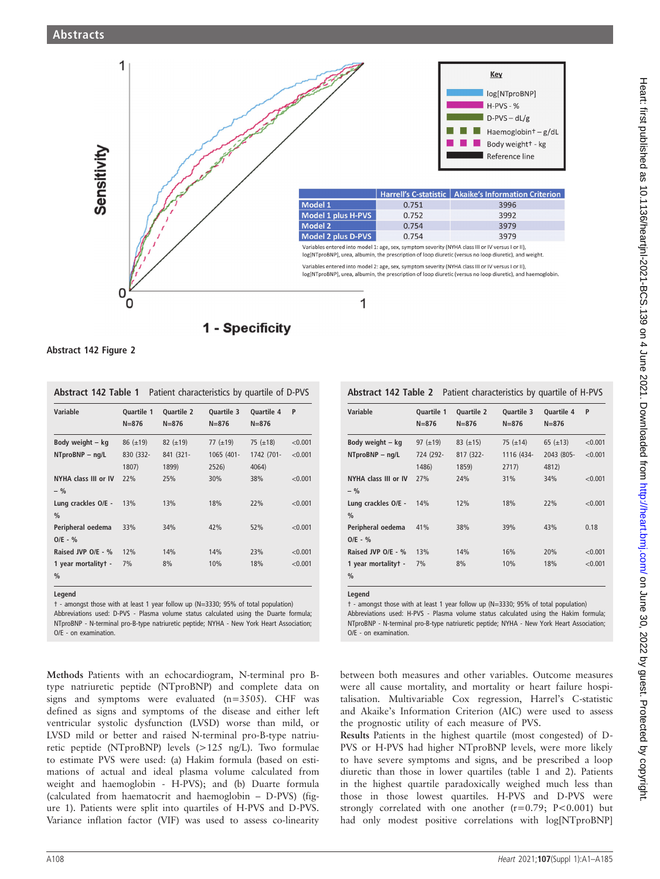#### Abstracts



Abstract 142 Figure 2

| <b>Abstract 142 Table 1</b> Patient characteristics by quartile of D-PVS |  |              |  |  |
|--------------------------------------------------------------------------|--|--------------|--|--|
| $1.1 - 1.1 - 1.1$                                                        |  | 0.111.4011.2 |  |  |

| Variable                             | <b>Ouartile 1</b><br>$N = 876$ | <b>Ouartile 2</b><br>$N = 876$ | <b>Ouartile 3</b><br>$N = 876$ | <b>Ouartile 4</b><br>$N = 876$ | P       |
|--------------------------------------|--------------------------------|--------------------------------|--------------------------------|--------------------------------|---------|
| Body weight – kg                     | $86 (\pm 19)$                  | 82 $(\pm 19)$                  | 77 $(\pm 19)$                  | 75 $(\pm 18)$                  | < 0.001 |
| NTproBNP - nq/L                      | 830 (332-<br>1807)             | 841 (321-<br>1899)             | 1065 (401-<br>2526)            | 1742 (701-<br>4064)            | < 0.001 |
| NYHA class III or IV<br>$-$ %        | 22%                            | 25%                            | 30%                            | 38%                            | < 0.001 |
| Lung crackles O/E -<br>$\%$          | 13%                            | 13%                            | 18%                            | 22%                            | < 0.001 |
| Peripheral oedema<br>$O/E - %$       | 33%                            | 34%                            | 42%                            | 52%                            | < 0.001 |
| Raised JVP O/E - %                   | 12%                            | 14%                            | 14%                            | 23%                            | < 0.001 |
| 1 year mortalityt -<br>$\frac{0}{0}$ | 7%                             | 8%                             | 10%                            | 18%                            | < 0.001 |

Legend

† - amongst those with at least 1 year follow up (N=3330; 95% of total population) Abbreviations used: D-PVS - Plasma volume status calculated using the Duarte formula; NTproBNP - N-terminal pro-B-type natriuretic peptide; NYHA - New York Heart Association; O/E - on examination.

Methods Patients with an echocardiogram, N-terminal pro Btype natriuretic peptide (NTproBNP) and complete data on signs and symptoms were evaluated (n=3505). CHF was defined as signs and symptoms of the disease and either left ventricular systolic dysfunction (LVSD) worse than mild, or LVSD mild or better and raised N-terminal pro-B-type natriuretic peptide (NTproBNP) levels (>125 ng/L). Two formulae to estimate PVS were used: (a) Hakim formula (based on estimations of actual and ideal plasma volume calculated from weight and haemoglobin - H-PVS); and (b) Duarte formula (calculated from haematocrit and haemoglobin – D-PVS) (figure 1). Patients were split into quartiles of H-PVS and D-PVS. Variance inflation factor (VIF) was used to assess co-linearity

Abstract 142 Table 2 Patient characteristics by quartile of H-PVS

| Variable             | <b>Ouartile 1</b><br>$N = 876$ | <b>Ouartile 2</b><br>$N = 876$ | <b>Ouartile 3</b><br>$N = 876$ | <b>Ouartile 4</b><br>$N = 876$ | P       |
|----------------------|--------------------------------|--------------------------------|--------------------------------|--------------------------------|---------|
| Body weight – kg     | 97 $(\pm 19)$                  | 83 $(\pm 15)$                  | 75 $(\pm 14)$                  | 65 $(\pm 13)$                  | < 0.001 |
| NTproBNP - nq/L      | 724 (292-                      | 817 (322-                      | 1116 (434-                     | 2043 (805-                     | < 0.001 |
|                      | 1486)                          | 1859)                          | 2717)                          | 4812)                          |         |
| NYHA class III or IV | 27%                            | 24%                            | 31%                            | 34%                            | < 0.001 |
| $-$ %                |                                |                                |                                |                                |         |
| Lung crackles O/E -  | 14%                            | 12%                            | 18%                            | 22%                            | < 0.001 |
| $\%$                 |                                |                                |                                |                                |         |
| Peripheral oedema    | 41%                            | 38%                            | 39%                            | 43%                            | 0.18    |
| $O/E - %$            |                                |                                |                                |                                |         |
| Raised JVP O/E - %   | 13%                            | 14%                            | 16%                            | 20%                            | < 0.001 |
| 1 year mortality +-  | 7%                             | 8%                             | 10%                            | 18%                            | < 0.001 |
| $\frac{0}{0}$        |                                |                                |                                |                                |         |

Legend

† - amongst those with at least 1 year follow up (N=3330; 95% of total population) Abbreviations used: H-PVS - Plasma volume status calculated using the Hakim formula; NTproBNP - N-terminal pro-B-type natriuretic peptide; NYHA - New York Heart Association; O/E - on examination.

between both measures and other variables. Outcome measures were all cause mortality, and mortality or heart failure hospitalisation. Multivariable Cox regression, Harrel's C-statistic and Akaike's Information Criterion (AIC) were used to assess the prognostic utility of each measure of PVS.

Results Patients in the highest quartile (most congested) of D-PVS or H-PVS had higher NTproBNP levels, were more likely to have severe symptoms and signs, and be prescribed a loop diuretic than those in lower quartiles (table 1 and 2). Patients in the highest quartile paradoxically weighed much less than those in those lowest quartiles. H-PVS and D-PVS were strongly correlated with one another  $(r=0.79; P<0.001)$  but had only modest positive correlations with log[NTproBNP]